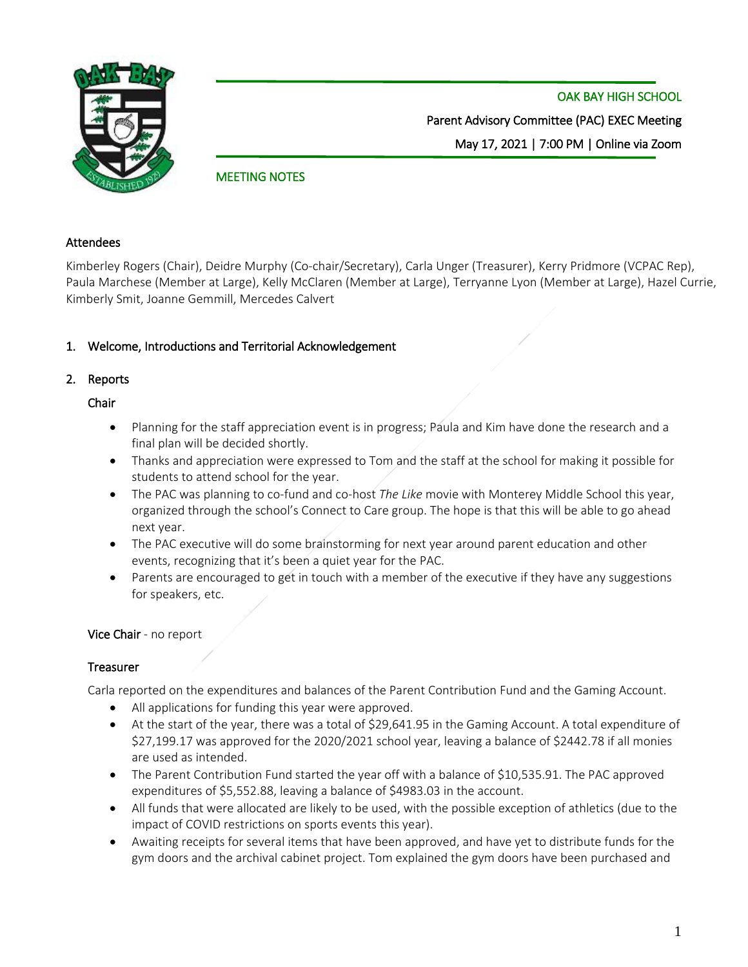

OAK BAY HIGH SCHOOL Parent Advisory Committee (PAC) EXEC Meeting May 17, 2021 | 7:00 PM | Online via Zoom

## MEETING NOTES

#### Attendees

Kimberley Rogers (Chair), Deidre Murphy (Co-chair/Secretary), Carla Unger (Treasurer), Kerry Pridmore (VCPAC Rep), Paula Marchese (Member at Large), Kelly McClaren (Member at Large), Terryanne Lyon (Member at Large), Hazel Currie, Kimberly Smit, Joanne Gemmill, Mercedes Calvert

## 1. Welcome, Introductions and Territorial Acknowledgement

## 2. Reports

### Chair

- Planning for the staff appreciation event is in progress; Paula and Kim have done the research and a final plan will be decided shortly.
- Thanks and appreciation were expressed to Tom and the staff at the school for making it possible for students to attend school for the year.
- The PAC was planning to co-fund and co-host *The Like* movie with Monterey Middle School this year, organized through the school's Connect to Care group. The hope is that this will be able to go ahead next year.
- The PAC executive will do some brainstorming for next year around parent education and other events, recognizing that it's been a quiet year for the PAC.
- Parents are encouraged to get in touch with a member of the executive if they have any suggestions for speakers, etc.

## Vice Chair - no report

## **Treasurer**

Carla reported on the expenditures and balances of the Parent Contribution Fund and the Gaming Account.

- All applications for funding this year were approved.
- At the start of the year, there was a total of \$29,641.95 in the Gaming Account. A total expenditure of \$27,199.17 was approved for the 2020/2021 school year, leaving a balance of \$2442.78 if all monies are used as intended.
- The Parent Contribution Fund started the year off with a balance of \$10,535.91. The PAC approved expenditures of \$5,552.88, leaving a balance of \$4983.03 in the account.
- All funds that were allocated are likely to be used, with the possible exception of athletics (due to the impact of COVID restrictions on sports events this year).
- Awaiting receipts for several items that have been approved, and have yet to distribute funds for the gym doors and the archival cabinet project. Tom explained the gym doors have been purchased and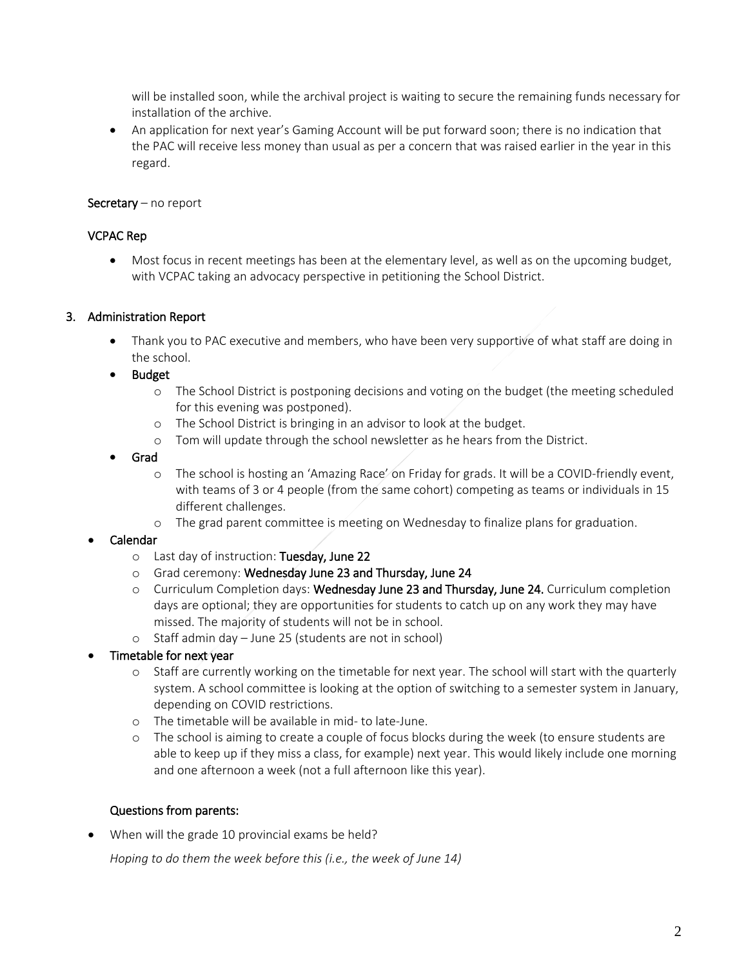will be installed soon, while the archival project is waiting to secure the remaining funds necessary for installation of the archive.

• An application for next year's Gaming Account will be put forward soon; there is no indication that the PAC will receive less money than usual as per a concern that was raised earlier in the year in this regard.

### Secretary – no report

### VCPAC Rep

• Most focus in recent meetings has been at the elementary level, as well as on the upcoming budget, with VCPAC taking an advocacy perspective in petitioning the School District.

### 3. Administration Report

- Thank you to PAC executive and members, who have been very supportive of what staff are doing in the school.
- Budget
	- o The School District is postponing decisions and voting on the budget (the meeting scheduled for this evening was postponed).
	- o The School District is bringing in an advisor to look at the budget.
	- o Tom will update through the school newsletter as he hears from the District.
- Grad
	- o The school is hosting an 'Amazing Race' on Friday for grads. It will be a COVID-friendly event, with teams of 3 or 4 people (from the same cohort) competing as teams or individuals in 15 different challenges.
	- o The grad parent committee is meeting on Wednesday to finalize plans for graduation.

## • Calendar

- o Last day of instruction: Tuesday, June 22
- o Grad ceremony: Wednesday June 23 and Thursday, June 24
- o Curriculum Completion days: Wednesday June 23 and Thursday, June 24. Curriculum completion days are optional; they are opportunities for students to catch up on any work they may have missed. The majority of students will not be in school.
- o Staff admin day June 25 (students are not in school)
- Timetable for next year
	- o Staff are currently working on the timetable for next year. The school will start with the quarterly system. A school committee is looking at the option of switching to a semester system in January, depending on COVID restrictions.
	- o The timetable will be available in mid- to late-June.
	- o The school is aiming to create a couple of focus blocks during the week (to ensure students are able to keep up if they miss a class, for example) next year. This would likely include one morning and one afternoon a week (not a full afternoon like this year).

#### Questions from parents:

When will the grade 10 provincial exams be held?

*Hoping to do them the week before this (i.e., the week of June 14)*